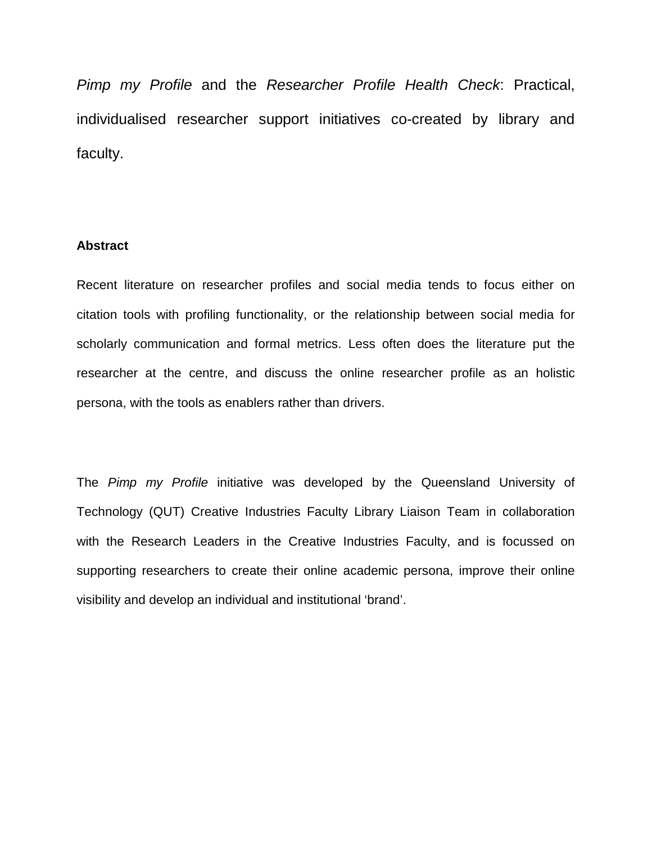*Pimp my Profile* and the *Researcher Profile Health Check*: Practical, individualised researcher support initiatives co-created by library and faculty.

# **Abstract**

Recent literature on researcher profiles and social media tends to focus either on citation tools with profiling functionality, or the relationship between social media for scholarly communication and formal metrics. Less often does the literature put the researcher at the centre, and discuss the online researcher profile as an holistic persona, with the tools as enablers rather than drivers.

The *Pimp my Profile* initiative was developed by the Queensland University of Technology (QUT) Creative Industries Faculty Library Liaison Team in collaboration with the Research Leaders in the Creative Industries Faculty, and is focussed on supporting researchers to create their online academic persona, improve their online visibility and develop an individual and institutional 'brand'.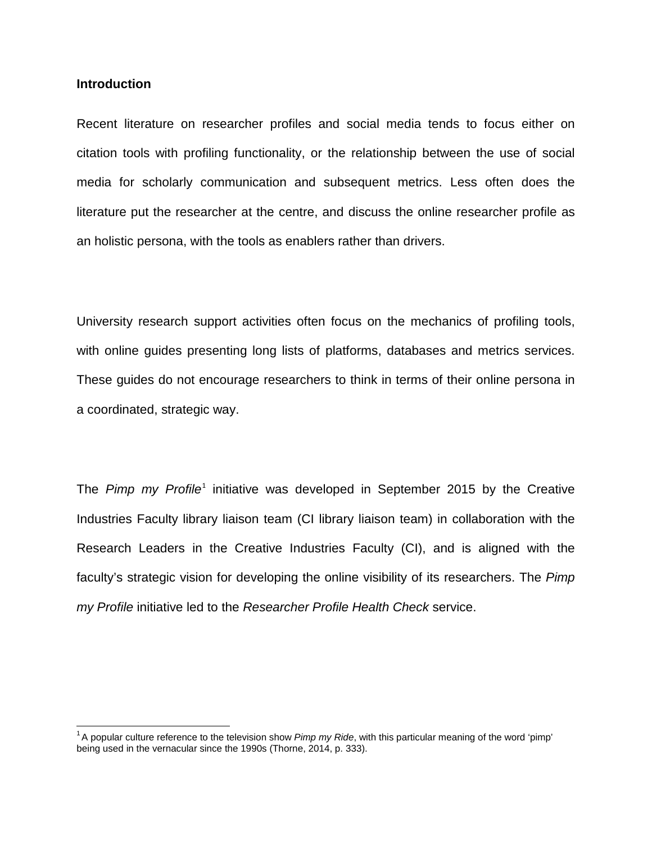## **Introduction**

Recent literature on researcher profiles and social media tends to focus either on citation tools with profiling functionality, or the relationship between the use of social media for scholarly communication and subsequent metrics. Less often does the literature put the researcher at the centre, and discuss the online researcher profile as an holistic persona, with the tools as enablers rather than drivers.

University research support activities often focus on the mechanics of profiling tools, with online guides presenting long lists of platforms, databases and metrics services. These guides do not encourage researchers to think in terms of their online persona in a coordinated, strategic way.

The *Pimp my Profile*<sup>[1](#page-1-0)</sup> initiative was developed in September 2015 by the Creative Industries Faculty library liaison team (CI library liaison team) in collaboration with the Research Leaders in the Creative Industries Faculty (CI), and is aligned with the faculty's strategic vision for developing the online visibility of its researchers. The *Pimp my Profile* initiative led to the *Researcher Profile Health Check* service.

<span id="page-1-0"></span><sup>&</sup>lt;sup>1</sup>A popular culture reference to the television show *Pimp my Ride*, with this particular meaning of the word 'pimp' being used in the vernacular since the 1990s (Thorne, 2014, p. 333).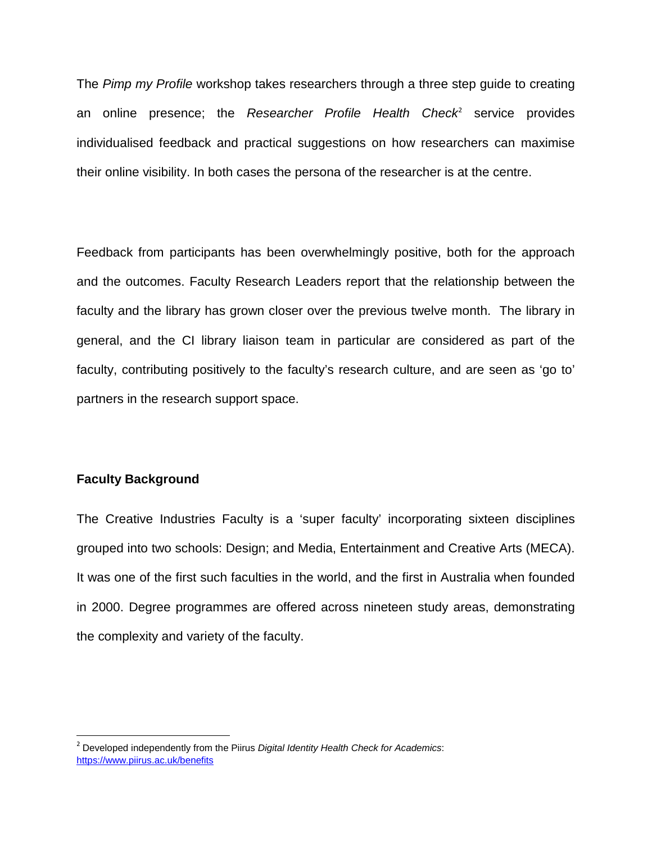The *Pimp my Profile* workshop takes researchers through a three step guide to creating an online presence; the *Researcher Profile Health Check*<sup>[2](#page-2-0)</sup> service provides individualised feedback and practical suggestions on how researchers can maximise their online visibility. In both cases the persona of the researcher is at the centre.

Feedback from participants has been overwhelmingly positive, both for the approach and the outcomes. Faculty Research Leaders report that the relationship between the faculty and the library has grown closer over the previous twelve month. The library in general, and the CI library liaison team in particular are considered as part of the faculty, contributing positively to the faculty's research culture, and are seen as 'go to' partners in the research support space.

# **Faculty Background**

The Creative Industries Faculty is a 'super faculty' incorporating sixteen disciplines grouped into two schools: Design; and Media, Entertainment and Creative Arts (MECA). It was one of the first such faculties in the world, and the first in Australia when founded in 2000. Degree programmes are offered across nineteen study areas, demonstrating the complexity and variety of the faculty.

<span id="page-2-0"></span> <sup>2</sup> Developed independently from the Piirus *Digital Identity Health Check for Academics*: <https://www.piirus.ac.uk/benefits>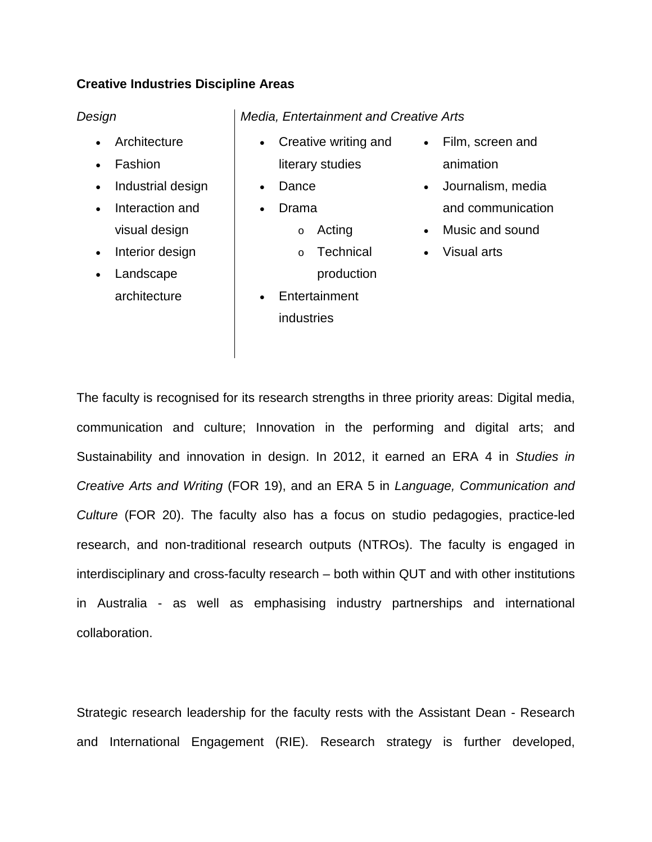# **Creative Industries Discipline Areas**

- Architecture
- Fashion
- Industrial design
- Interaction and visual design
- Interior design
- Landscape architecture

# *Design Media, Entertainment and Creative Arts*

- Creative writing and literary studies
- **Dance** 
	- Drama
		- o Acting
		- o Technical production
- Entertainment **industries**
- Film, screen and animation
- Journalism, media and communication
- Music and sound
- Visual arts

The faculty is recognised for its research strengths in three priority areas: Digital media, communication and culture; Innovation in the performing and digital arts; and Sustainability and innovation in design. In 2012, it earned an ERA 4 in *Studies in Creative Arts and Writing* (FOR 19), and an ERA 5 in *Language, Communication and Culture* (FOR 20). The faculty also has a focus on studio pedagogies, practice-led research, and non-traditional research outputs (NTROs). The faculty is engaged in interdisciplinary and cross-faculty research – both within QUT and with other institutions in Australia - as well as emphasising industry partnerships and international collaboration.

Strategic research leadership for the faculty rests with the Assistant Dean - Research and International Engagement (RIE). Research strategy is further developed,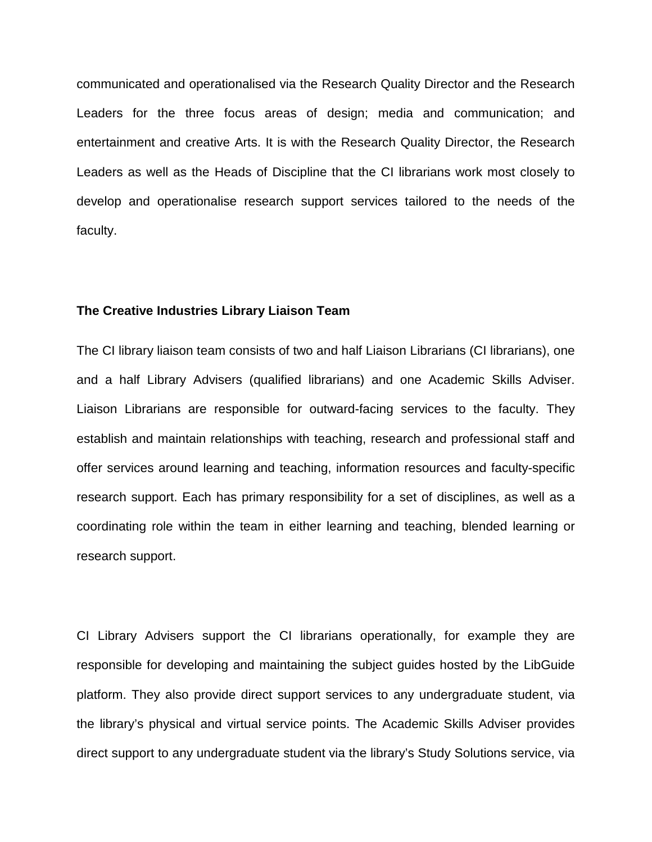communicated and operationalised via the Research Quality Director and the Research Leaders for the three focus areas of design; media and communication; and entertainment and creative Arts. It is with the Research Quality Director, the Research Leaders as well as the Heads of Discipline that the CI librarians work most closely to develop and operationalise research support services tailored to the needs of the faculty.

## **The Creative Industries Library Liaison Team**

The CI library liaison team consists of two and half Liaison Librarians (CI librarians), one and a half Library Advisers (qualified librarians) and one Academic Skills Adviser. Liaison Librarians are responsible for outward-facing services to the faculty. They establish and maintain relationships with teaching, research and professional staff and offer services around learning and teaching, information resources and faculty-specific research support. Each has primary responsibility for a set of disciplines, as well as a coordinating role within the team in either learning and teaching, blended learning or research support.

CI Library Advisers support the CI librarians operationally, for example they are responsible for developing and maintaining the subject guides hosted by the LibGuide platform. They also provide direct support services to any undergraduate student, via the library's physical and virtual service points. The Academic Skills Adviser provides direct support to any undergraduate student via the library's Study Solutions service, via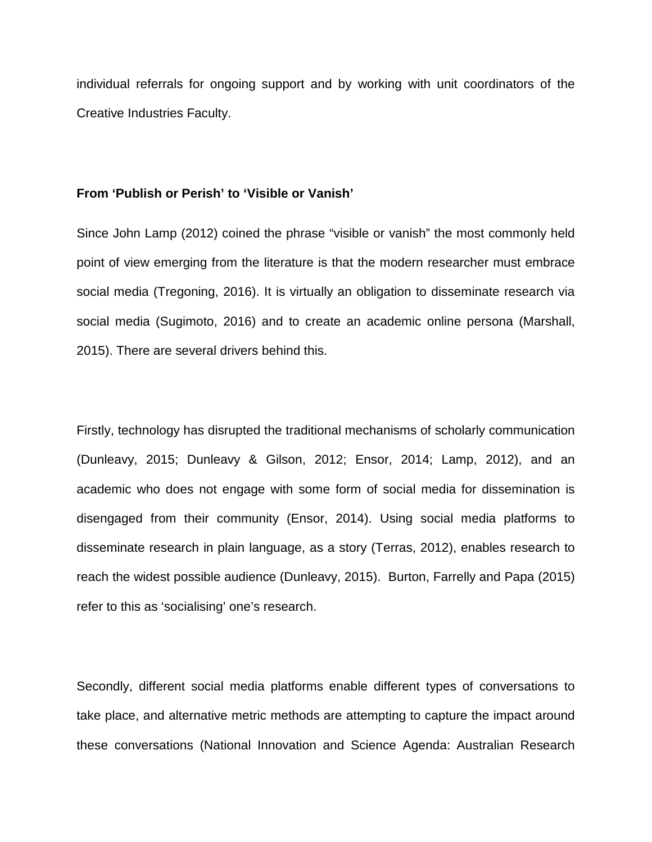individual referrals for ongoing support and by working with unit coordinators of the Creative Industries Faculty.

### **From 'Publish or Perish' to 'Visible or Vanish'**

Since John Lamp (2012) coined the phrase "visible or vanish" the most commonly held point of view emerging from the literature is that the modern researcher must embrace social media (Tregoning, 2016). It is virtually an obligation to disseminate research via social media (Sugimoto, 2016) and to create an academic online persona (Marshall, 2015). There are several drivers behind this.

Firstly, technology has disrupted the traditional mechanisms of scholarly communication (Dunleavy, 2015; Dunleavy & Gilson, 2012; Ensor, 2014; Lamp, 2012), and an academic who does not engage with some form of social media for dissemination is disengaged from their community (Ensor, 2014). Using social media platforms to disseminate research in plain language, as a story (Terras, 2012), enables research to reach the widest possible audience (Dunleavy, 2015). Burton, Farrelly and Papa (2015) refer to this as 'socialising' one's research.

Secondly, different social media platforms enable different types of conversations to take place, and alternative metric methods are attempting to capture the impact around these conversations (National Innovation and Science Agenda: Australian Research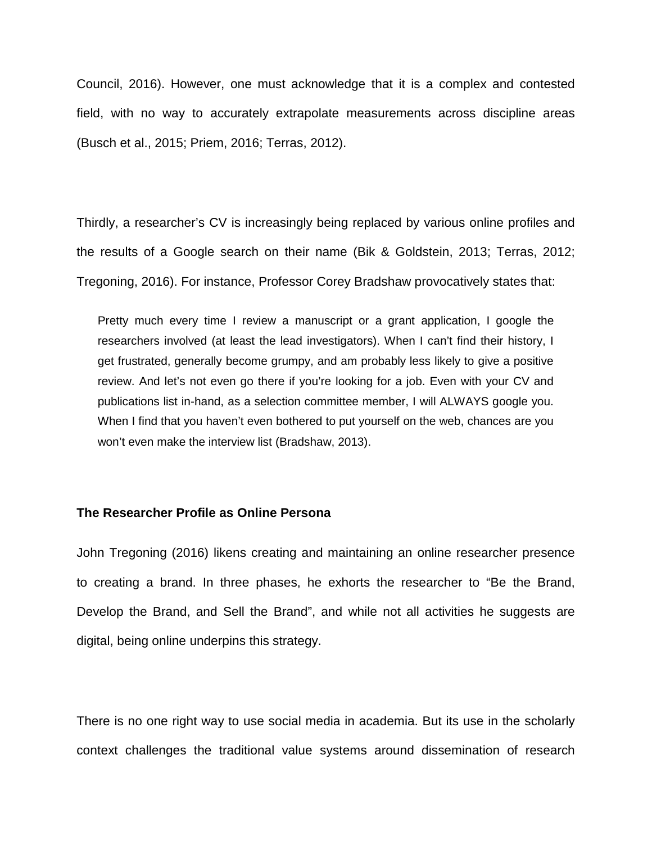Council, 2016). However, one must acknowledge that it is a complex and contested field, with no way to accurately extrapolate measurements across discipline areas (Busch et al., 2015; Priem, 2016; Terras, 2012).

Thirdly, a researcher's CV is increasingly being replaced by various online profiles and the results of a Google search on their name (Bik & Goldstein, 2013; Terras, 2012; Tregoning, 2016). For instance, Professor Corey Bradshaw provocatively states that:

Pretty much every time I review a manuscript or a grant application, I google the researchers involved (at least the lead investigators). When I can't find their history, I get frustrated, generally become grumpy, and am probably less likely to give a positive review. And let's not even go there if you're looking for a job. Even with your CV and publications list in-hand, as a selection committee member, I will ALWAYS google you. When I find that you haven't even bothered to put yourself on the web, chances are you won't even make the interview list (Bradshaw, 2013).

## **The Researcher Profile as Online Persona**

John Tregoning (2016) likens creating and maintaining an online researcher presence to creating a brand. In three phases, he exhorts the researcher to "Be the Brand, Develop the Brand, and Sell the Brand", and while not all activities he suggests are digital, being online underpins this strategy.

There is no one right way to use social media in academia. But its use in the scholarly context challenges the traditional value systems around dissemination of research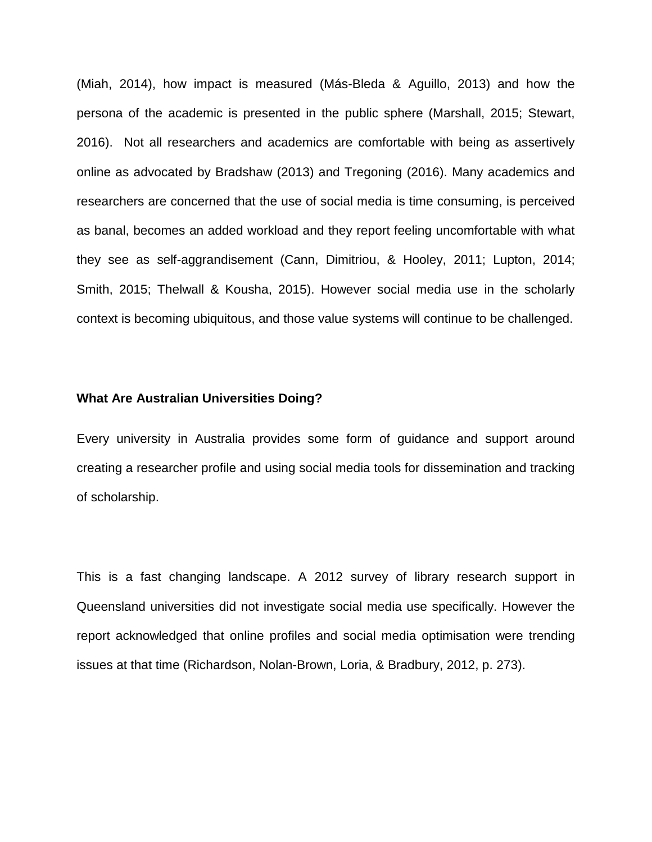(Miah, 2014), how impact is measured (Más-Bleda & Aguillo, 2013) and how the persona of the academic is presented in the public sphere (Marshall, 2015; Stewart, 2016). Not all researchers and academics are comfortable with being as assertively online as advocated by Bradshaw (2013) and Tregoning (2016). Many academics and researchers are concerned that the use of social media is time consuming, is perceived as banal, becomes an added workload and they report feeling uncomfortable with what they see as self-aggrandisement (Cann, Dimitriou, & Hooley, 2011; Lupton, 2014; Smith, 2015; Thelwall & Kousha, 2015). However social media use in the scholarly context is becoming ubiquitous, and those value systems will continue to be challenged.

## **What Are Australian Universities Doing?**

Every university in Australia provides some form of guidance and support around creating a researcher profile and using social media tools for dissemination and tracking of scholarship.

This is a fast changing landscape. A 2012 survey of library research support in Queensland universities did not investigate social media use specifically. However the report acknowledged that online profiles and social media optimisation were trending issues at that time (Richardson, Nolan-Brown, Loria, & Bradbury, 2012, p. 273).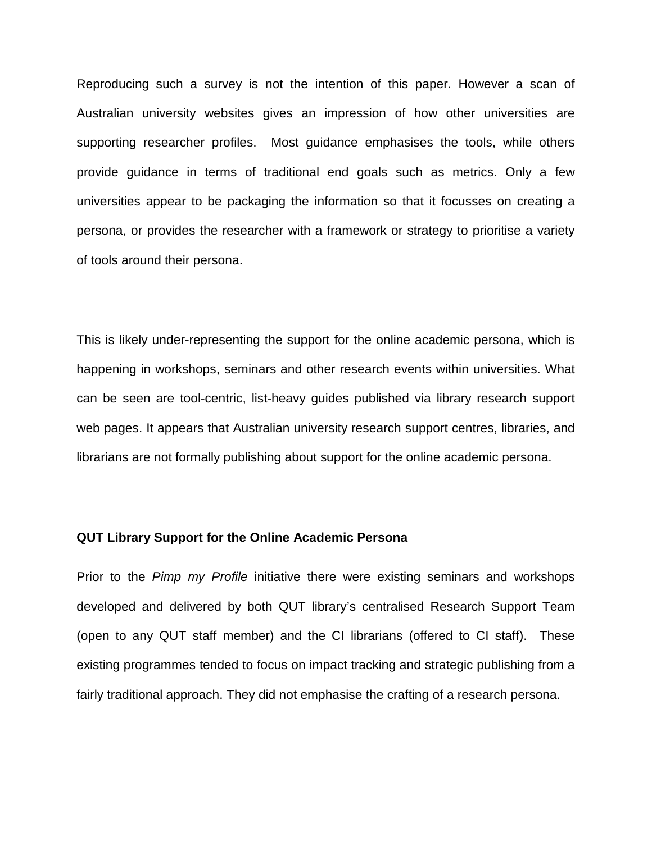Reproducing such a survey is not the intention of this paper. However a scan of Australian university websites gives an impression of how other universities are supporting researcher profiles. Most guidance emphasises the tools, while others provide guidance in terms of traditional end goals such as metrics. Only a few universities appear to be packaging the information so that it focusses on creating a persona, or provides the researcher with a framework or strategy to prioritise a variety of tools around their persona.

This is likely under-representing the support for the online academic persona, which is happening in workshops, seminars and other research events within universities. What can be seen are tool-centric, list-heavy guides published via library research support web pages. It appears that Australian university research support centres, libraries, and librarians are not formally publishing about support for the online academic persona.

#### **QUT Library Support for the Online Academic Persona**

Prior to the *Pimp my Profile* initiative there were existing seminars and workshops developed and delivered by both QUT library's centralised Research Support Team (open to any QUT staff member) and the CI librarians (offered to CI staff). These existing programmes tended to focus on impact tracking and strategic publishing from a fairly traditional approach. They did not emphasise the crafting of a research persona.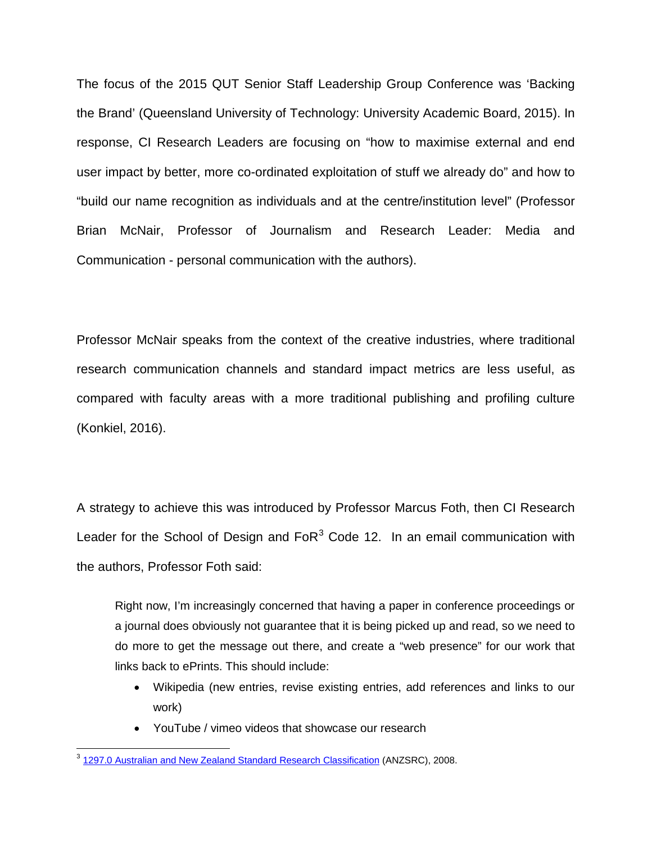The focus of the 2015 QUT Senior Staff Leadership Group Conference was 'Backing the Brand' (Queensland University of Technology: University Academic Board, 2015). In response, CI Research Leaders are focusing on "how to maximise external and end user impact by better, more co-ordinated exploitation of stuff we already do" and how to "build our name recognition as individuals and at the centre/institution level" (Professor Brian McNair, Professor of Journalism and Research Leader: Media and Communication - personal communication with the authors).

Professor McNair speaks from the context of the creative industries, where traditional research communication channels and standard impact metrics are less useful, as compared with faculty areas with a more traditional publishing and profiling culture (Konkiel, 2016).

A strategy to achieve this was introduced by Professor Marcus Foth, then CI Research Leader for the School of Design and  $F \circ R^3$  $F \circ R^3$  Code 12. In an email communication with the authors, Professor Foth said:

Right now, I'm increasingly concerned that having a paper in conference proceedings or a journal does obviously not guarantee that it is being picked up and read, so we need to do more to get the message out there, and create a "web presence" for our work that links back to ePrints. This should include:

- Wikipedia (new entries, revise existing entries, add references and links to our work)
- YouTube / vimeo videos that showcase our research

<span id="page-9-0"></span><sup>&</sup>lt;sup>3</sup> [1297.0 Australian and New Zealand Standard Research Classification](http://www.abs.gov.au/AUSSTATS/abs@.nsf/Lookup/1297.0Main+Features12008?OpenDocument) (ANZSRC), 2008.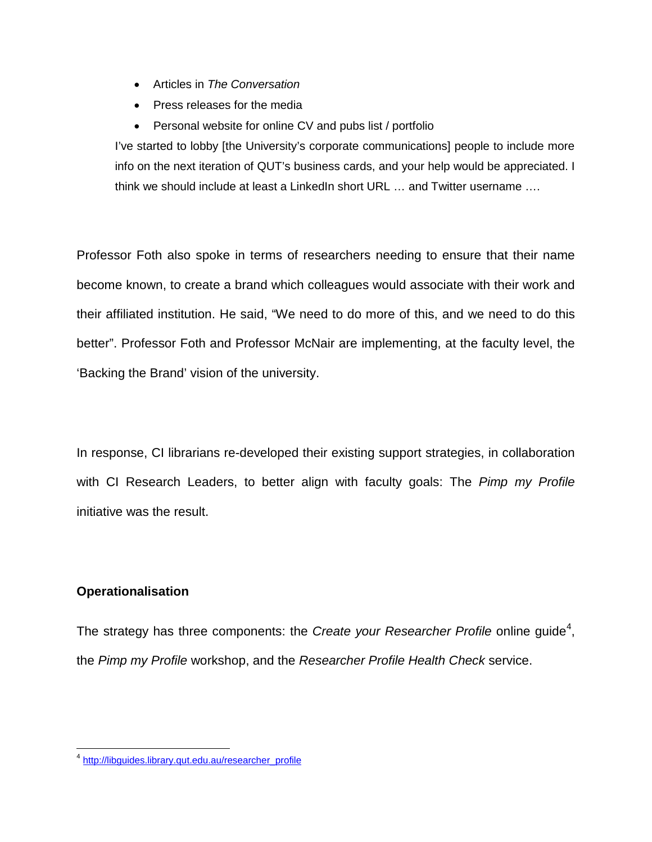- Articles in *The Conversation*
- Press releases for the media
- Personal website for online CV and pubs list / portfolio

I've started to lobby [the University's corporate communications] people to include more info on the next iteration of QUT's business cards, and your help would be appreciated. I think we should include at least a LinkedIn short URL … and Twitter username ….

Professor Foth also spoke in terms of researchers needing to ensure that their name become known, to create a brand which colleagues would associate with their work and their affiliated institution. He said, "We need to do more of this, and we need to do this better". Professor Foth and Professor McNair are implementing, at the faculty level, the 'Backing the Brand' vision of the university.

In response, CI librarians re-developed their existing support strategies, in collaboration with CI Research Leaders, to better align with faculty goals: The *Pimp my Profile* initiative was the result.

# **Operationalisation**

The strategy has three components: the *Create your Researcher Profile* online guide<sup>[4](#page-10-0)</sup>, the *Pimp my Profile* workshop, and the *Researcher Profile Health Check* service.

<span id="page-10-0"></span><sup>4</sup> [http://libguides.library.qut.edu.au/researcher\\_profile](http://libguides.library.qut.edu.au/researcher_profile)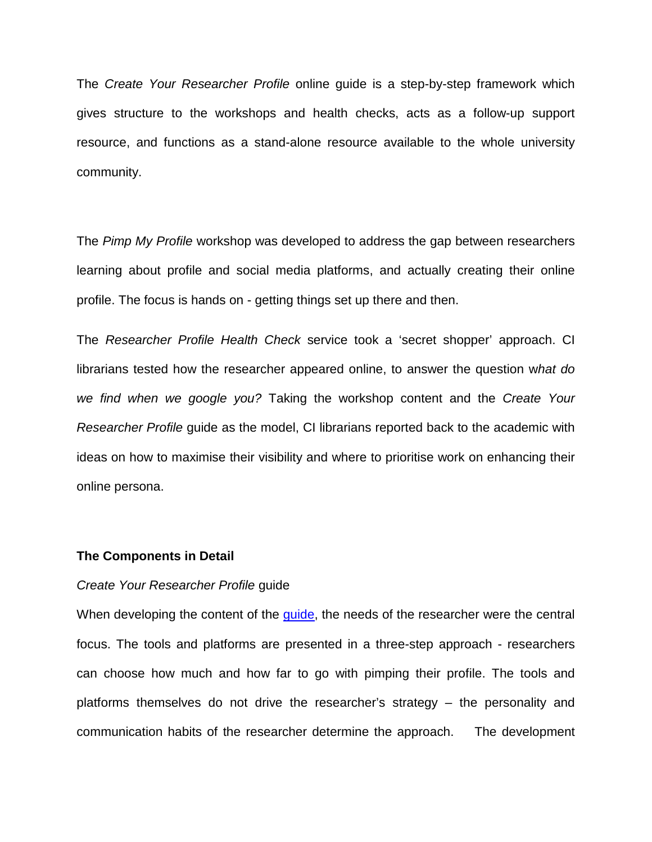The *Create Your Researcher Profile* online guide is a step-by-step framework which gives structure to the workshops and health checks, acts as a follow-up support resource, and functions as a stand-alone resource available to the whole university community.

The *Pimp My Profile* workshop was developed to address the gap between researchers learning about profile and social media platforms, and actually creating their online profile. The focus is hands on - getting things set up there and then.

The *Researcher Profile Health Check* service took a 'secret shopper' approach. CI librarians tested how the researcher appeared online, to answer the question w*hat do we find when we google you?* Taking the workshop content and the *Create Your Researcher Profile* guide as the model, CI librarians reported back to the academic with ideas on how to maximise their visibility and where to prioritise work on enhancing their online persona.

# **The Components in Detail**

## *Create Your Researcher Profile* guide

When developing the content of the quide, the needs of the researcher were the central focus. The tools and platforms are presented in a three-step approach - researchers can choose how much and how far to go with pimping their profile. The tools and platforms themselves do not drive the researcher's strategy – the personality and communication habits of the researcher determine the approach. The development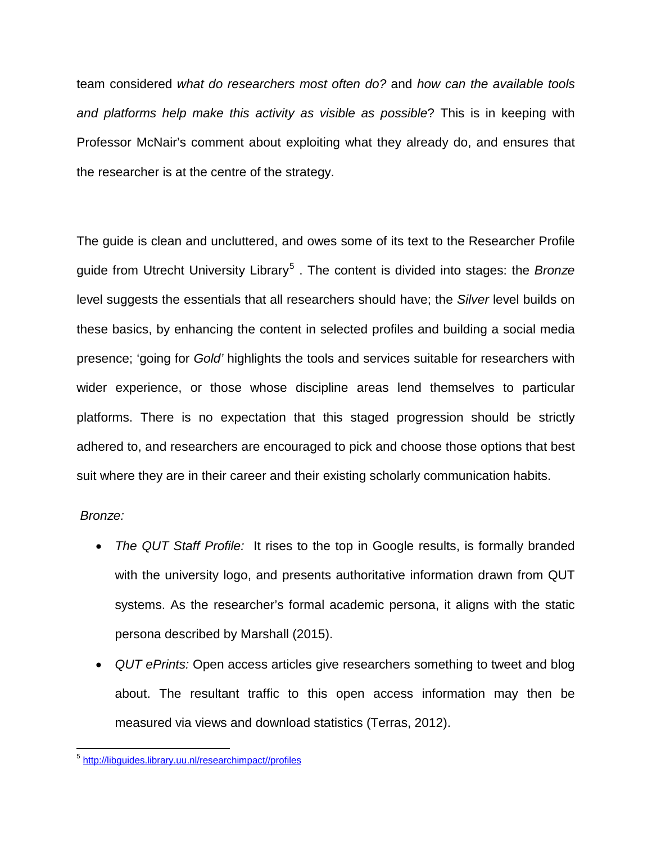team considered *what do researchers most often do?* and *how can the available tools and platforms help make this activity as visible as possible*? This is in keeping with Professor McNair's comment about exploiting what they already do, and ensures that the researcher is at the centre of the strategy.

The guide is clean and uncluttered, and owes some of its text to the Researcher Profile guide from Utrecht University Library[5](#page-12-0) . The content is divided into stages: the *Bronze* level suggests the essentials that all researchers should have; the *Silver* level builds on these basics, by enhancing the content in selected profiles and building a social media presence; 'going for *Gold'* highlights the tools and services suitable for researchers with wider experience, or those whose discipline areas lend themselves to particular platforms. There is no expectation that this staged progression should be strictly adhered to, and researchers are encouraged to pick and choose those options that best suit where they are in their career and their existing scholarly communication habits.

# *Bronze:*

- *The QUT Staff Profile:* It rises to the top in Google results, is formally branded with the university logo, and presents authoritative information drawn from QUT systems. As the researcher's formal academic persona, it aligns with the static persona described by Marshall (2015).
- *QUT ePrints:* Open access articles give researchers something to tweet and blog about. The resultant traffic to this open access information may then be measured via views and download statistics (Terras, 2012).

<span id="page-12-0"></span><sup>5</sup> [http://libguides.library.uu.nl/researchimpact//profiles](http://libguides.library.uu.nl/researchimpact/profiles)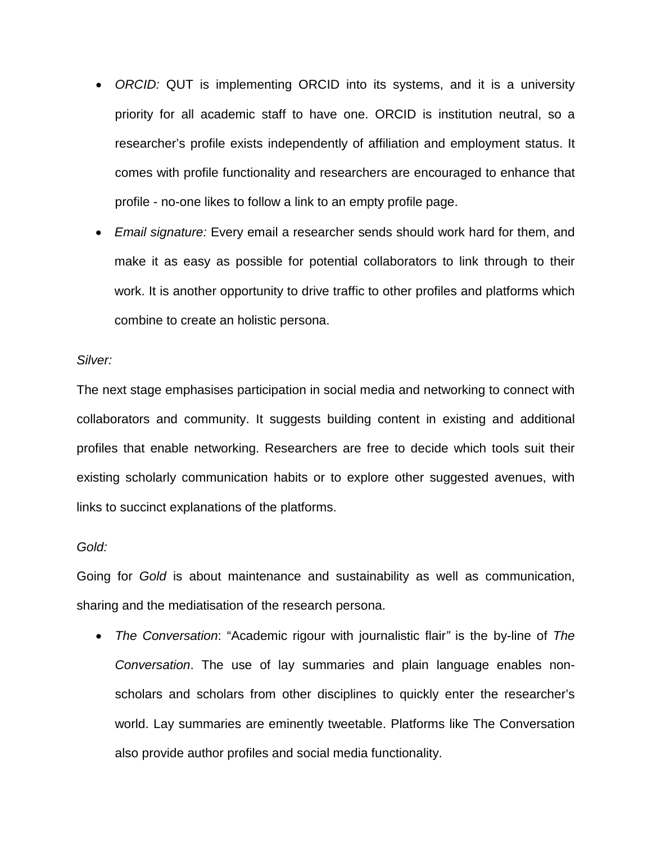- *ORCID:* QUT is implementing ORCID into its systems, and it is a university priority for all academic staff to have one. ORCID is institution neutral, so a researcher's profile exists independently of affiliation and employment status. It comes with profile functionality and researchers are encouraged to enhance that profile - no-one likes to follow a link to an empty profile page.
- *Email signature:* Every email a researcher sends should work hard for them, and make it as easy as possible for potential collaborators to link through to their work. It is another opportunity to drive traffic to other profiles and platforms which combine to create an holistic persona.

## *Silver:*

The next stage emphasises participation in social media and networking to connect with collaborators and community. It suggests building content in existing and additional profiles that enable networking. Researchers are free to decide which tools suit their existing scholarly communication habits or to explore other suggested avenues, with links to succinct explanations of the platforms.

### *Gold:*

Going for *Gold* is about maintenance and sustainability as well as communication, sharing and the mediatisation of the research persona.

• *The Conversation*: "Academic rigour with journalistic flair*"* is the by-line of *The Conversation*. The use of lay summaries and plain language enables nonscholars and scholars from other disciplines to quickly enter the researcher's world. Lay summaries are eminently tweetable. Platforms like The Conversation also provide author profiles and social media functionality.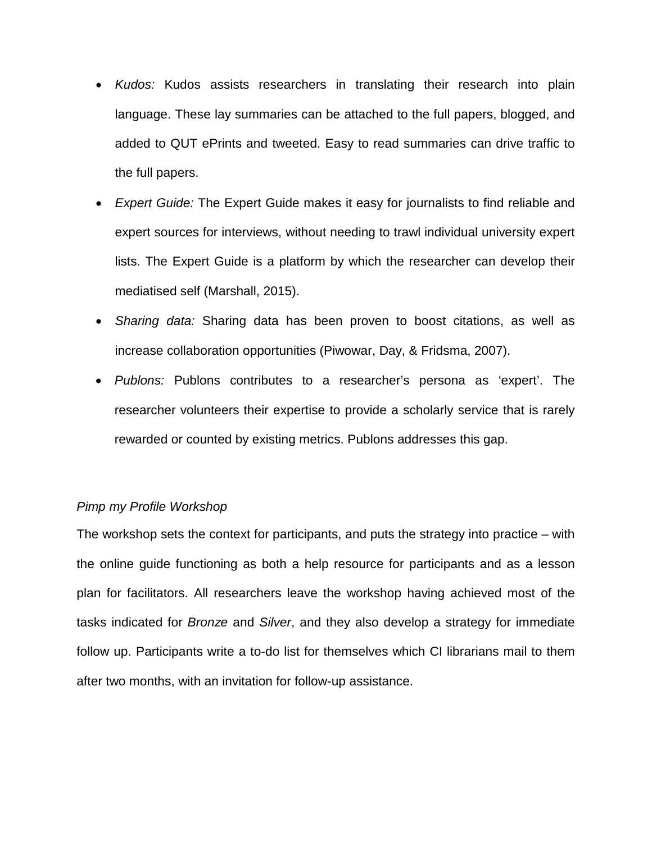- *Kudos:* Kudos assists researchers in translating their research into plain language. These lay summaries can be attached to the full papers, blogged, and added to QUT ePrints and tweeted. Easy to read summaries can drive traffic to the full papers.
- *Expert Guide:* The Expert Guide makes it easy for journalists to find reliable and expert sources for interviews, without needing to trawl individual university expert lists. The Expert Guide is a platform by which the researcher can develop their mediatised self (Marshall, 2015).
- *Sharing data:* Sharing data has been proven to boost citations, as well as increase collaboration opportunities (Piwowar, Day, & Fridsma, 2007).
- *Publons:* Publons contributes to a researcher's persona as 'expert'. The researcher volunteers their expertise to provide a scholarly service that is rarely rewarded or counted by existing metrics. Publons addresses this gap.

# *Pimp my Profile Workshop*

The workshop sets the context for participants, and puts the strategy into practice – with the online guide functioning as both a help resource for participants and as a lesson plan for facilitators. All researchers leave the workshop having achieved most of the tasks indicated for *Bronze* and *Silver*, and they also develop a strategy for immediate follow up. Participants write a to-do list for themselves which CI librarians mail to them after two months, with an invitation for follow-up assistance.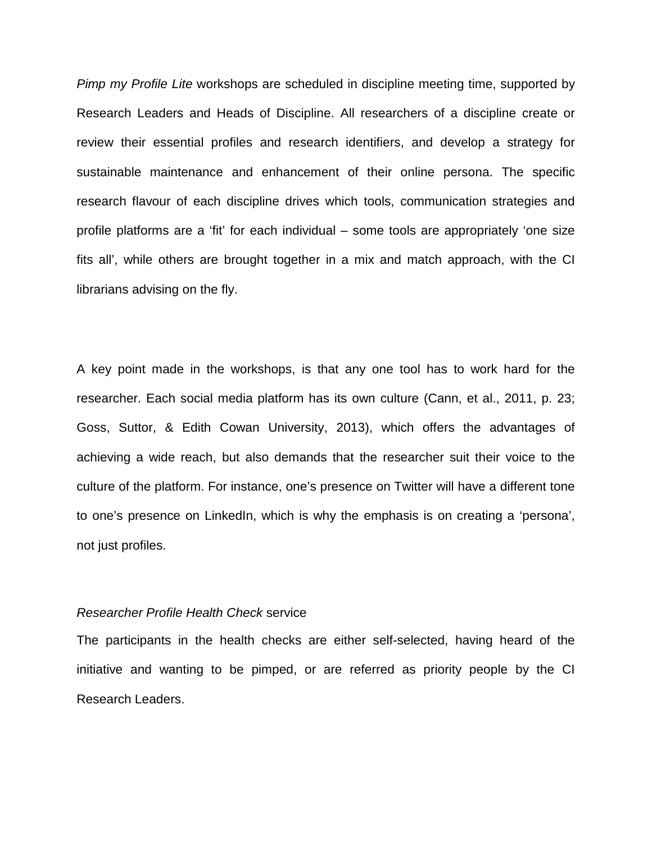*Pimp my Profile Lite* workshops are scheduled in discipline meeting time, supported by Research Leaders and Heads of Discipline. All researchers of a discipline create or review their essential profiles and research identifiers, and develop a strategy for sustainable maintenance and enhancement of their online persona. The specific research flavour of each discipline drives which tools, communication strategies and profile platforms are a 'fit' for each individual – some tools are appropriately 'one size fits all', while others are brought together in a mix and match approach, with the CI librarians advising on the fly.

A key point made in the workshops, is that any one tool has to work hard for the researcher. Each social media platform has its own culture (Cann, et al., 2011, p. 23; Goss, Suttor, & Edith Cowan University, 2013), which offers the advantages of achieving a wide reach, but also demands that the researcher suit their voice to the culture of the platform. For instance, one's presence on Twitter will have a different tone to one's presence on LinkedIn, which is why the emphasis is on creating a 'persona', not just profiles.

#### *Researcher Profile Health Check* service

The participants in the health checks are either self-selected, having heard of the initiative and wanting to be pimped, or are referred as priority people by the CI Research Leaders.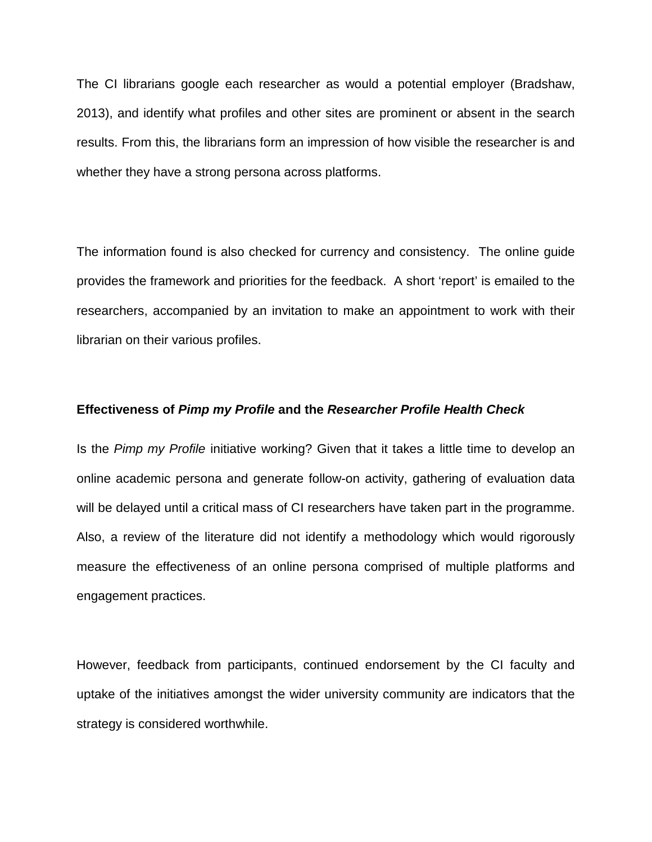The CI librarians google each researcher as would a potential employer (Bradshaw, 2013), and identify what profiles and other sites are prominent or absent in the search results. From this, the librarians form an impression of how visible the researcher is and whether they have a strong persona across platforms.

The information found is also checked for currency and consistency. The online guide provides the framework and priorities for the feedback. A short 'report' is emailed to the researchers, accompanied by an invitation to make an appointment to work with their librarian on their various profiles.

## **Effectiveness of** *Pimp my Profile* **and the** *Researcher Profile Health Check*

Is the *Pimp my Profile* initiative working? Given that it takes a little time to develop an online academic persona and generate follow-on activity, gathering of evaluation data will be delayed until a critical mass of CI researchers have taken part in the programme. Also, a review of the literature did not identify a methodology which would rigorously measure the effectiveness of an online persona comprised of multiple platforms and engagement practices.

However, feedback from participants, continued endorsement by the CI faculty and uptake of the initiatives amongst the wider university community are indicators that the strategy is considered worthwhile.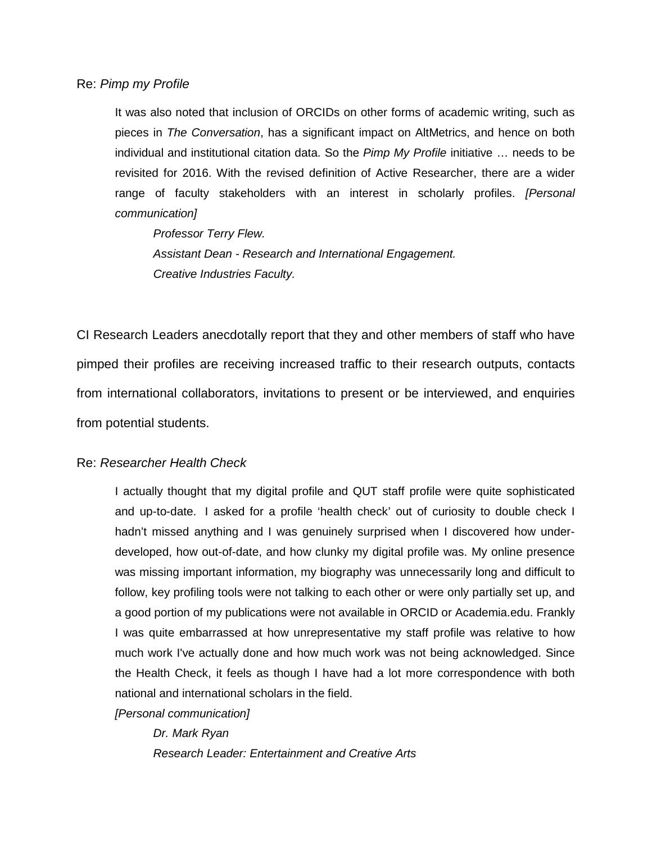## Re: *Pimp my Profile*

It was also noted that inclusion of ORCIDs on other forms of academic writing, such as pieces in *The Conversation*, has a significant impact on AltMetrics, and hence on both individual and institutional citation data. So the *Pimp My Profile* initiative … needs to be revisited for 2016. With the revised definition of Active Researcher, there are a wider range of faculty stakeholders with an interest in scholarly profiles. *[Personal communication]*

*Professor Terry Flew. Assistant Dean - Research and International Engagement. Creative Industries Faculty.* 

CI Research Leaders anecdotally report that they and other members of staff who have pimped their profiles are receiving increased traffic to their research outputs, contacts from international collaborators, invitations to present or be interviewed, and enquiries from potential students.

# Re: *Researcher Health Check*

I actually thought that my digital profile and QUT staff profile were quite sophisticated and up-to-date. I asked for a profile 'health check' out of curiosity to double check I hadn't missed anything and I was genuinely surprised when I discovered how underdeveloped, how out-of-date, and how clunky my digital profile was. My online presence was missing important information, my biography was unnecessarily long and difficult to follow, key profiling tools were not talking to each other or were only partially set up, and a good portion of my publications were not available in ORCID or Academia.edu. Frankly I was quite embarrassed at how unrepresentative my staff profile was relative to how much work I've actually done and how much work was not being acknowledged. Since the Health Check, it feels as though I have had a lot more correspondence with both national and international scholars in the field.

*[Personal communication]*

*Dr. Mark Ryan Research Leader: Entertainment and Creative Arts*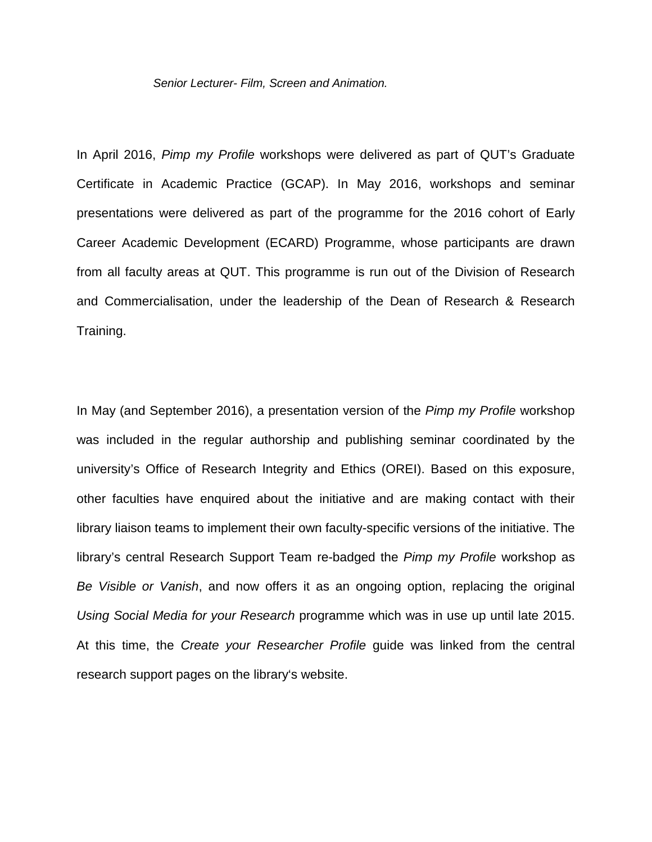*Senior Lecturer- Film, Screen and Animation.* 

In April 2016, *Pimp my Profile* workshops were delivered as part of QUT's Graduate Certificate in Academic Practice (GCAP). In May 2016, workshops and seminar presentations were delivered as part of the programme for the 2016 cohort of Early Career Academic Development (ECARD) Programme, whose participants are drawn from all faculty areas at QUT. This programme is run out of the Division of Research and Commercialisation, under the leadership of the Dean of Research & Research Training.

In May (and September 2016), a presentation version of the *Pimp my Profile* workshop was included in the regular authorship and publishing seminar coordinated by the university's Office of Research Integrity and Ethics (OREI). Based on this exposure, other faculties have enquired about the initiative and are making contact with their library liaison teams to implement their own faculty-specific versions of the initiative. The library's central Research Support Team re-badged the *Pimp my Profile* workshop as *Be Visible or Vanish*, and now offers it as an ongoing option, replacing the original *Using Social Media for your Research* programme which was in use up until late 2015. At this time, the *Create your Researcher Profile* guide was linked from the central research support pages on the library's website.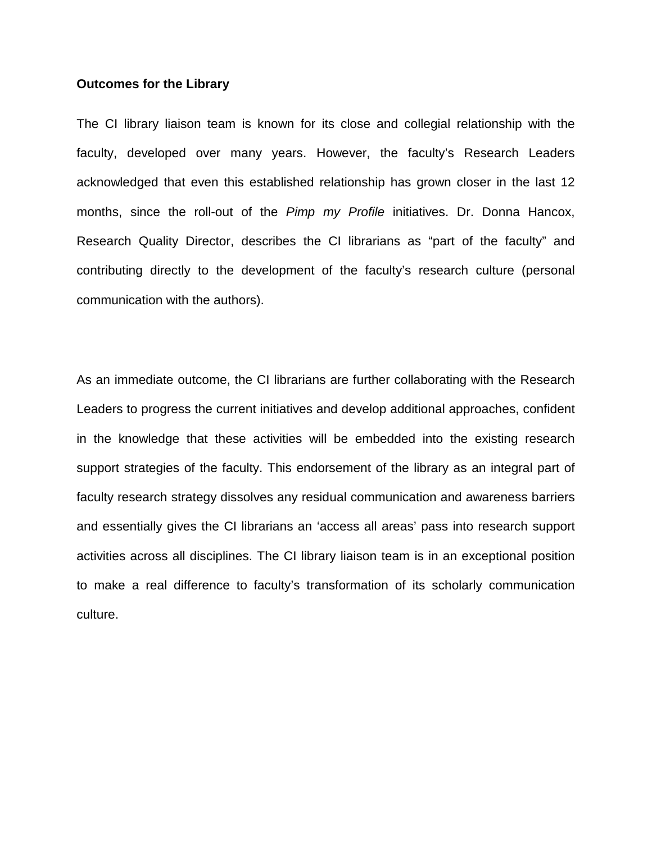#### **Outcomes for the Library**

The CI library liaison team is known for its close and collegial relationship with the faculty, developed over many years. However, the faculty's Research Leaders acknowledged that even this established relationship has grown closer in the last 12 months, since the roll-out of the *Pimp my Profile* initiatives. Dr. Donna Hancox, Research Quality Director, describes the CI librarians as "part of the faculty" and contributing directly to the development of the faculty's research culture (personal communication with the authors).

As an immediate outcome, the CI librarians are further collaborating with the Research Leaders to progress the current initiatives and develop additional approaches, confident in the knowledge that these activities will be embedded into the existing research support strategies of the faculty. This endorsement of the library as an integral part of faculty research strategy dissolves any residual communication and awareness barriers and essentially gives the CI librarians an 'access all areas' pass into research support activities across all disciplines. The CI library liaison team is in an exceptional position to make a real difference to faculty's transformation of its scholarly communication culture.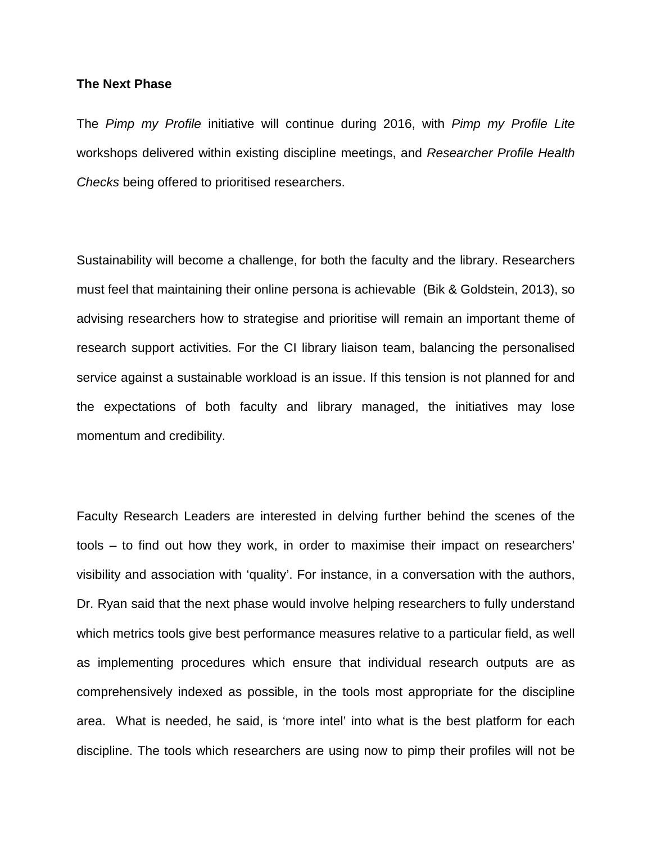## **The Next Phase**

The *Pimp my Profile* initiative will continue during 2016, with *Pimp my Profile Lite* workshops delivered within existing discipline meetings, and *Researcher Profile Health Checks* being offered to prioritised researchers.

Sustainability will become a challenge, for both the faculty and the library. Researchers must feel that maintaining their online persona is achievable (Bik & Goldstein, 2013), so advising researchers how to strategise and prioritise will remain an important theme of research support activities. For the CI library liaison team, balancing the personalised service against a sustainable workload is an issue. If this tension is not planned for and the expectations of both faculty and library managed, the initiatives may lose momentum and credibility.

Faculty Research Leaders are interested in delving further behind the scenes of the tools – to find out how they work, in order to maximise their impact on researchers' visibility and association with 'quality'. For instance, in a conversation with the authors, Dr. Ryan said that the next phase would involve helping researchers to fully understand which metrics tools give best performance measures relative to a particular field, as well as implementing procedures which ensure that individual research outputs are as comprehensively indexed as possible, in the tools most appropriate for the discipline area. What is needed, he said, is 'more intel' into what is the best platform for each discipline. The tools which researchers are using now to pimp their profiles will not be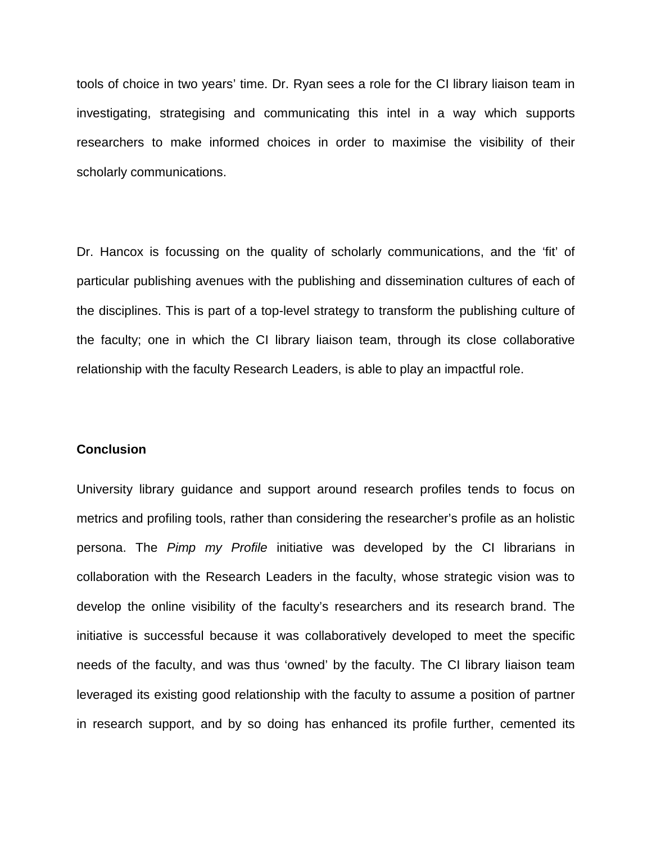tools of choice in two years' time. Dr. Ryan sees a role for the CI library liaison team in investigating, strategising and communicating this intel in a way which supports researchers to make informed choices in order to maximise the visibility of their scholarly communications.

Dr. Hancox is focussing on the quality of scholarly communications, and the 'fit' of particular publishing avenues with the publishing and dissemination cultures of each of the disciplines. This is part of a top-level strategy to transform the publishing culture of the faculty; one in which the CI library liaison team, through its close collaborative relationship with the faculty Research Leaders, is able to play an impactful role.

#### **Conclusion**

University library guidance and support around research profiles tends to focus on metrics and profiling tools, rather than considering the researcher's profile as an holistic persona. The *Pimp my Profile* initiative was developed by the CI librarians in collaboration with the Research Leaders in the faculty, whose strategic vision was to develop the online visibility of the faculty's researchers and its research brand. The initiative is successful because it was collaboratively developed to meet the specific needs of the faculty, and was thus 'owned' by the faculty. The CI library liaison team leveraged its existing good relationship with the faculty to assume a position of partner in research support, and by so doing has enhanced its profile further, cemented its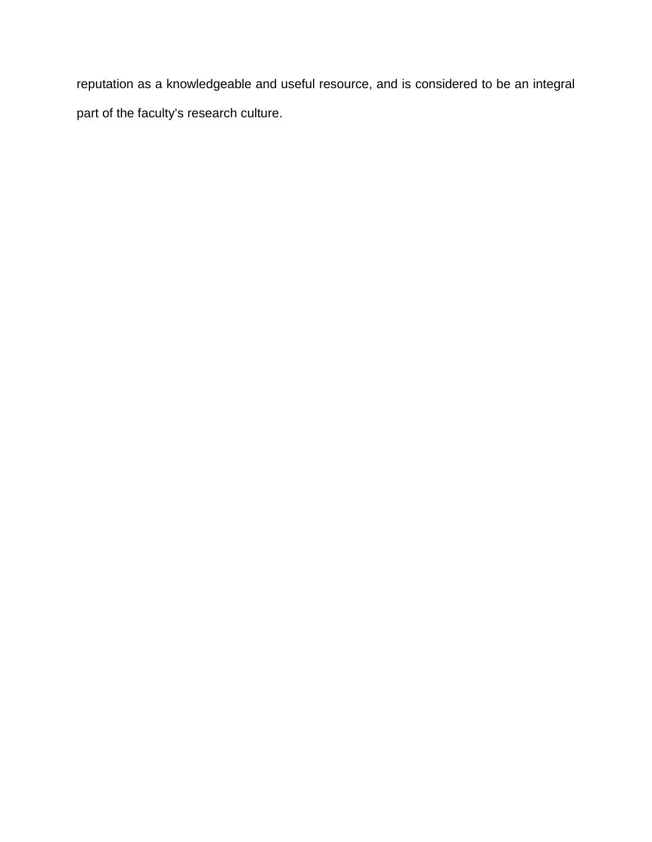reputation as a knowledgeable and useful resource, and is considered to be an integral part of the faculty's research culture.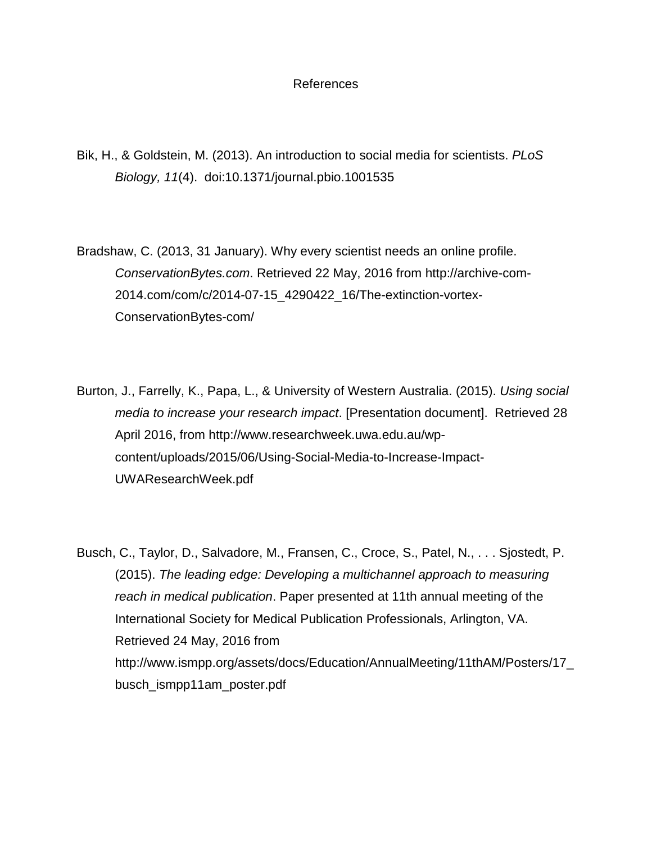# References

Bik, H., & Goldstein, M. (2013). An introduction to social media for scientists. *PLoS Biology, 11*(4). doi:10.1371/journal.pbio.1001535

Bradshaw, C. (2013, 31 January). Why every scientist needs an online profile. *ConservationBytes.com*. Retrieved 22 May, 2016 from http://archive-com-2014.com/com/c/2014-07-15\_4290422\_16/The-extinction-vortex-ConservationBytes-com/

Burton, J., Farrelly, K., Papa, L., & University of Western Australia. (2015). *Using social media to increase your research impact*. [Presentation document]. Retrieved 28 April 2016, from http://www.researchweek.uwa.edu.au/wpcontent/uploads/2015/06/Using-Social-Media-to-Increase-Impact-UWAResearchWeek.pdf

Busch, C., Taylor, D., Salvadore, M., Fransen, C., Croce, S., Patel, N., . . . Sjostedt, P. (2015). *The leading edge: Developing a multichannel approach to measuring reach in medical publication*. Paper presented at 11th annual meeting of the International Society for Medical Publication Professionals, Arlington, VA. Retrieved 24 May, 2016 from http://www.ismpp.org/assets/docs/Education/AnnualMeeting/11thAM/Posters/17\_ busch\_ismpp11am\_poster.pdf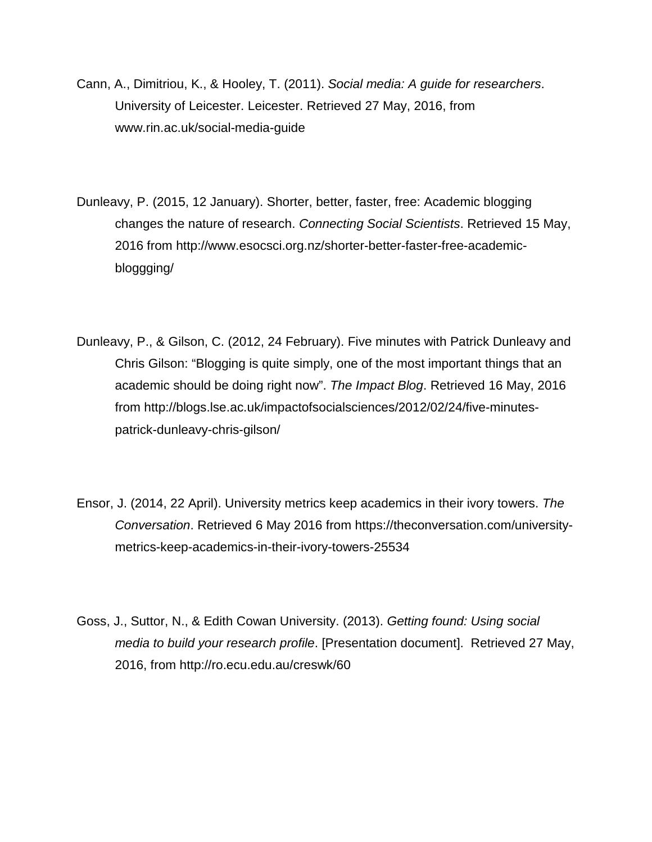- Cann, A., Dimitriou, K., & Hooley, T. (2011). *Social media: A guide for researchers*. University of Leicester. Leicester. Retrieved 27 May, 2016, from www.rin.ac.uk/social-media-guide
- Dunleavy, P. (2015, 12 January). Shorter, better, faster, free: Academic blogging changes the nature of research. *Connecting Social Scientists*. Retrieved 15 May, 2016 from http://www.esocsci.org.nz/shorter-better-faster-free-academicbloggging/
- Dunleavy, P., & Gilson, C. (2012, 24 February). Five minutes with Patrick Dunleavy and Chris Gilson: "Blogging is quite simply, one of the most important things that an academic should be doing right now". *The Impact Blog*. Retrieved 16 May, 2016 from http://blogs.lse.ac.uk/impactofsocialsciences/2012/02/24/five-minutespatrick-dunleavy-chris-gilson/
- Ensor, J. (2014, 22 April). University metrics keep academics in their ivory towers. *The Conversation*. Retrieved 6 May 2016 from https://theconversation.com/universitymetrics-keep-academics-in-their-ivory-towers-25534
- Goss, J., Suttor, N., & Edith Cowan University. (2013). *Getting found: Using social media to build your research profile*. [Presentation document]. Retrieved 27 May, 2016, from http://ro.ecu.edu.au/creswk/60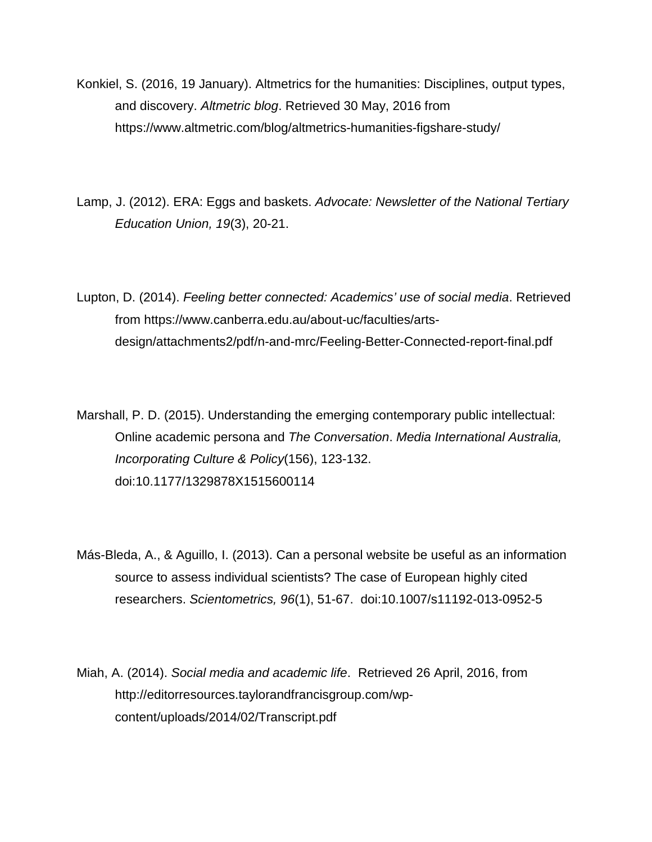- Konkiel, S. (2016, 19 January). Altmetrics for the humanities: Disciplines, output types, and discovery. *Altmetric blog*. Retrieved 30 May, 2016 from https://www.altmetric.com/blog/altmetrics-humanities-figshare-study/
- Lamp, J. (2012). ERA: Eggs and baskets. *Advocate: Newsletter of the National Tertiary Education Union, 19*(3), 20-21.
- Lupton, D. (2014). *Feeling better connected: Academics' use of social media*. Retrieved from https://www.canberra.edu.au/about-uc/faculties/artsdesign/attachments2/pdf/n-and-mrc/Feeling-Better-Connected-report-final.pdf
- Marshall, P. D. (2015). Understanding the emerging contemporary public intellectual: Online academic persona and *The Conversation*. *Media International Australia, Incorporating Culture & Policy*(156), 123-132. doi:10.1177/1329878X1515600114
- Más-Bleda, A., & Aguillo, I. (2013). Can a personal website be useful as an information source to assess individual scientists? The case of European highly cited researchers. *Scientometrics, 96*(1), 51-67. doi:10.1007/s11192-013-0952-5
- Miah, A. (2014). *Social media and academic life*. Retrieved 26 April, 2016, from http://editorresources.taylorandfrancisgroup.com/wpcontent/uploads/2014/02/Transcript.pdf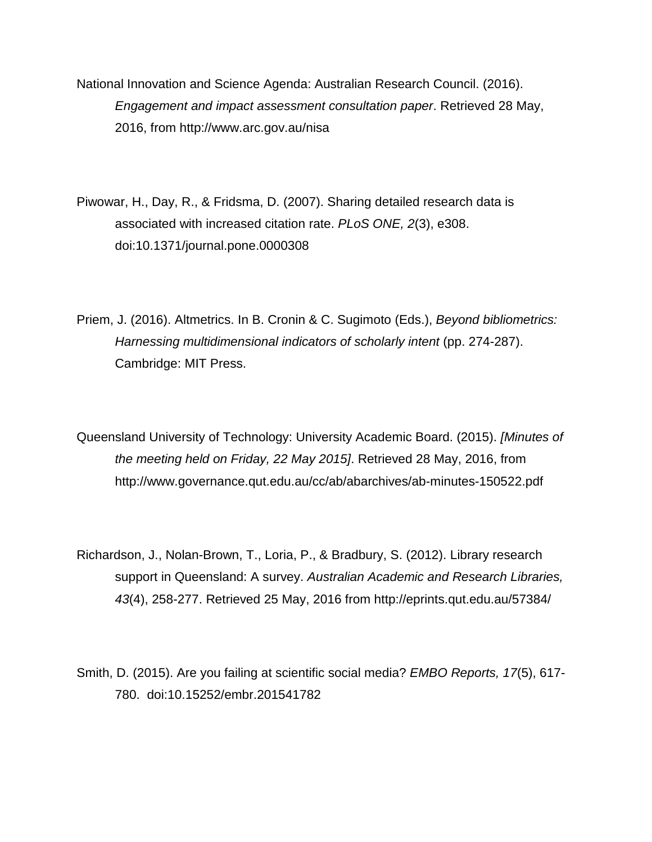National Innovation and Science Agenda: Australian Research Council. (2016). *Engagement and impact assessment consultation paper*. Retrieved 28 May, 2016, from http://www.arc.gov.au/nisa

Piwowar, H., Day, R., & Fridsma, D. (2007). Sharing detailed research data is associated with increased citation rate. *PLoS ONE, 2*(3), e308. doi:10.1371/journal.pone.0000308

Priem, J. (2016). Altmetrics. In B. Cronin & C. Sugimoto (Eds.), *Beyond bibliometrics: Harnessing multidimensional indicators of scholarly intent* (pp. 274-287). Cambridge: MIT Press.

Queensland University of Technology: University Academic Board. (2015). *[Minutes of the meeting held on Friday, 22 May 2015]*. Retrieved 28 May, 2016, from http://www.governance.qut.edu.au/cc/ab/abarchives/ab-minutes-150522.pdf

Richardson, J., Nolan-Brown, T., Loria, P., & Bradbury, S. (2012). Library research support in Queensland: A survey. *Australian Academic and Research Libraries, 43*(4), 258-277. Retrieved 25 May, 2016 from http://eprints.qut.edu.au/57384/

Smith, D. (2015). Are you failing at scientific social media? *EMBO Reports, 17*(5), 617- 780. doi:10.15252/embr.201541782